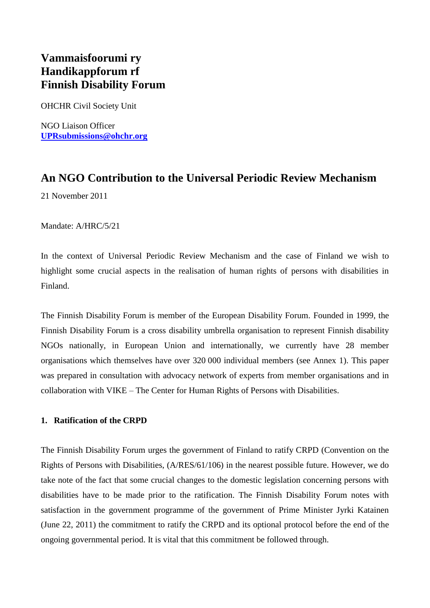# **Vammaisfoorumi ry Handikappforum rf Finnish Disability Forum**

OHCHR Civil Society Unit

NGO Liaison Officer **[UPRsubmissions@ohchr.org](mailto:UPRsubmissions@ohchr.org)**

# **An NGO Contribution to the Universal Periodic Review Mechanism**

21 November 2011

Mandate: A/HRC/5/21

In the context of Universal Periodic Review Mechanism and the case of Finland we wish to highlight some crucial aspects in the realisation of human rights of persons with disabilities in Finland.

The Finnish Disability Forum is member of the European Disability Forum. Founded in 1999, the Finnish Disability Forum is a cross disability umbrella organisation to represent Finnish disability NGOs nationally, in European Union and internationally, we currently have 28 member organisations which themselves have over 320 000 individual members (see Annex 1). This paper was prepared in consultation with advocacy network of experts from member organisations and in collaboration with VIKE – The Center for Human Rights of Persons with Disabilities.

### **1. Ratification of the CRPD**

The Finnish Disability Forum urges the government of Finland to ratify CRPD (Convention on the Rights of Persons with Disabilities, (A/RES/61/106) in the nearest possible future. However, we do take note of the fact that some crucial changes to the domestic legislation concerning persons with disabilities have to be made prior to the ratification. The Finnish Disability Forum notes with satisfaction in the government programme of the government of Prime Minister Jyrki Katainen (June 22, 2011) the commitment to ratify the CRPD and its optional protocol before the end of the ongoing governmental period. It is vital that this commitment be followed through.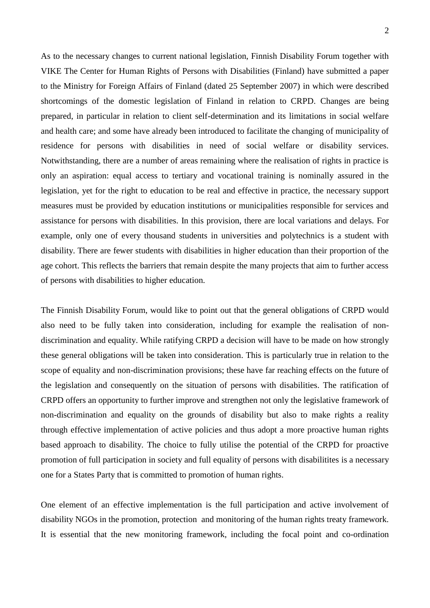As to the necessary changes to current national legislation, Finnish Disability Forum together with VIKE The Center for Human Rights of Persons with Disabilities (Finland) have submitted a paper to the Ministry for Foreign Affairs of Finland (dated 25 September 2007) in which were described shortcomings of the domestic legislation of Finland in relation to CRPD. Changes are being prepared, in particular in relation to client self-determination and its limitations in social welfare and health care; and some have already been introduced to facilitate the changing of municipality of residence for persons with disabilities in need of social welfare or disability services. Notwithstanding, there are a number of areas remaining where the realisation of rights in practice is only an aspiration: equal access to tertiary and vocational training is nominally assured in the legislation, yet for the right to education to be real and effective in practice, the necessary support measures must be provided by education institutions or municipalities responsible for services and assistance for persons with disabilities. In this provision, there are local variations and delays. For example, only one of every thousand students in universities and polytechnics is a student with disability. There are fewer students with disabilities in higher education than their proportion of the age cohort. This reflects the barriers that remain despite the many projects that aim to further access of persons with disabilities to higher education.

The Finnish Disability Forum, would like to point out that the general obligations of CRPD would also need to be fully taken into consideration, including for example the realisation of nondiscrimination and equality. While ratifying CRPD a decision will have to be made on how strongly these general obligations will be taken into consideration. This is particularly true in relation to the scope of equality and non-discrimination provisions; these have far reaching effects on the future of the legislation and consequently on the situation of persons with disabilities. The ratification of CRPD offers an opportunity to further improve and strengthen not only the legislative framework of non-discrimination and equality on the grounds of disability but also to make rights a reality through effective implementation of active policies and thus adopt a more proactive human rights based approach to disability. The choice to fully utilise the potential of the CRPD for proactive promotion of full participation in society and full equality of persons with disabilitites is a necessary one for a States Party that is committed to promotion of human rights.

One element of an effective implementation is the full participation and active involvement of disability NGOs in the promotion, protection and monitoring of the human rights treaty framework. It is essential that the new monitoring framework, including the focal point and co-ordination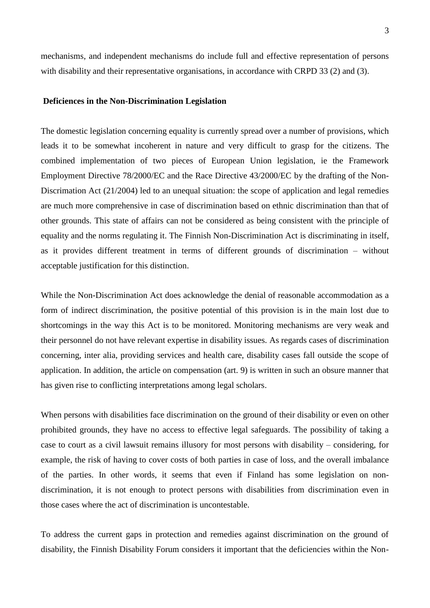mechanisms, and independent mechanisms do include full and effective representation of persons with disability and their representative organisations, in accordance with CRPD 33 (2) and (3).

#### **Deficiences in the Non-Discrimination Legislation**

The domestic legislation concerning equality is currently spread over a number of provisions, which leads it to be somewhat incoherent in nature and very difficult to grasp for the citizens. The combined implementation of two pieces of European Union legislation, ie the Framework Employment Directive 78/2000/EC and the Race Directive 43/2000/EC by the drafting of the Non-Discrimation Act (21/2004) led to an unequal situation: the scope of application and legal remedies are much more comprehensive in case of discrimination based on ethnic discrimination than that of other grounds. This state of affairs can not be considered as being consistent with the principle of equality and the norms regulating it. The Finnish Non-Discrimination Act is discriminating in itself, as it provides different treatment in terms of different grounds of discrimination – without acceptable justification for this distinction.

While the Non-Discrimination Act does acknowledge the denial of reasonable accommodation as a form of indirect discrimination, the positive potential of this provision is in the main lost due to shortcomings in the way this Act is to be monitored. Monitoring mechanisms are very weak and their personnel do not have relevant expertise in disability issues. As regards cases of discrimination concerning, inter alia, providing services and health care, disability cases fall outside the scope of application. In addition, the article on compensation (art. 9) is written in such an obsure manner that has given rise to conflicting interpretations among legal scholars.

When persons with disabilities face discrimination on the ground of their disability or even on other prohibited grounds, they have no access to effective legal safeguards. The possibility of taking a case to court as a civil lawsuit remains illusory for most persons with disability – considering, for example, the risk of having to cover costs of both parties in case of loss, and the overall imbalance of the parties. In other words, it seems that even if Finland has some legislation on nondiscrimination, it is not enough to protect persons with disabilities from discrimination even in those cases where the act of discrimination is uncontestable.

To address the current gaps in protection and remedies against discrimination on the ground of disability, the Finnish Disability Forum considers it important that the deficiencies within the Non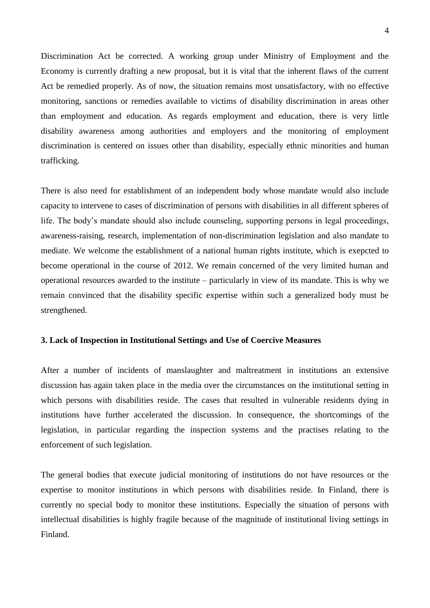Discrimination Act be corrected. A working group under Ministry of Employment and the Economy is currently drafting a new proposal, but it is vital that the inherent flaws of the current Act be remedied properly. As of now, the situation remains most unsatisfactory, with no effective monitoring, sanctions or remedies available to victims of disability discrimination in areas other than employment and education. As regards employment and education, there is very little disability awareness among authorities and employers and the monitoring of employment discrimination is centered on issues other than disability, especially ethnic minorities and human trafficking.

There is also need for establishment of an independent body whose mandate would also include capacity to intervene to cases of discrimination of persons with disabilities in all different spheres of life. The body's mandate should also include counseling, supporting persons in legal proceedings, awareness-raising, research, implementation of non-discrimination legislation and also mandate to mediate. We welcome the establishment of a national human rights institute, which is exepcted to become operational in the course of 2012. We remain concerned of the very limited human and operational resources awarded to the institute – particularly in view of its mandate. This is why we remain convinced that the disability specific expertise within such a generalized body must be strengthened.

#### **3. Lack of Inspection in Institutional Settings and Use of Coercive Measures**

After a number of incidents of manslaughter and maltreatment in institutions an extensive discussion has again taken place in the media over the circumstances on the institutional setting in which persons with disabilities reside. The cases that resulted in vulnerable residents dying in institutions have further accelerated the discussion. In consequence, the shortcomings of the legislation, in particular regarding the inspection systems and the practises relating to the enforcement of such legislation.

The general bodies that execute judicial monitoring of institutions do not have resources or the expertise to monitor institutions in which persons with disabilities reside. In Finland, there is currently no special body to monitor these institutions. Especially the situation of persons with intellectual disabilities is highly fragile because of the magnitude of institutional living settings in Finland.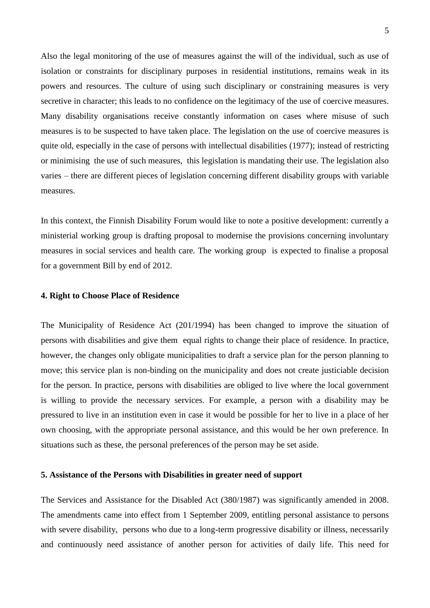Also the legal monitoring of the use of measures against the will of the individual, such as use of isolation or constraints for disciplinary purposes in residential institutions, remains weak in its powers and resources. The culture of using such disciplinary or constraining measures is very secretive in character; this leads to no confidence on the legitimacy of the use of coercive measures. Many disability organisations receive constantly information on cases where misuse of such measures is to be suspected to have taken place. The legislation on the use of coercive measures is quite old, especially in the case of persons with intellectual disabilities (1977); instead of restricting or minimising the use of such measures, this legislation is mandating their use. The legislation also varies – there are different pieces of legislation concerning different disability groups with variable measures.

In this context, the Finnish Disability Forum would like to note a positive development: currently a ministerial working group is drafting proposal to modernise the provisions concerning involuntary measures in social services and health care. The working group is expected to finalise a proposal for a government Bill by end of 2012.

#### **4. Right to Choose Place of Residence**

The Municipality of Residence Act (201/1994) has been changed to improve the situation of persons with disabilities and give them equal rights to change their place of residence. In practice, however, the changes only obligate municipalities to draft a service plan for the person planning to move; this service plan is non-binding on the municipality and does not create justiciable decision for the person. In practice, persons with disabilities are obliged to live where the local government is willing to provide the necessary services. For example, a person with a disability may be pressured to live in an institution even in case it would be possible for her to live in a place of her own choosing, with the appropriate personal assistance, and this would be her own preference. In situations such as these, the personal preferences of the person may be set aside.

#### **5. Assistance of the Persons with Disabilities in greater need of support**

The Services and Assistance for the Disabled Act (380/1987) was significantly amended in 2008. The amendments came into effect from 1 September 2009, entitling personal assistance to persons with severe disability, persons who due to a long-term progressive disability or illness, necessarily and continuously need assistance of another person for activities of daily life. This need for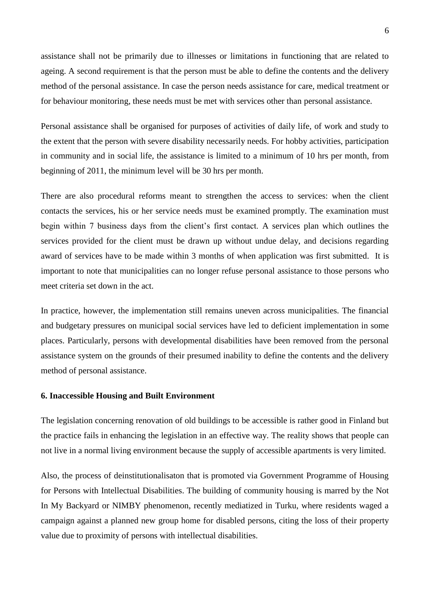assistance shall not be primarily due to illnesses or limitations in functioning that are related to ageing. A second requirement is that the person must be able to define the contents and the delivery method of the personal assistance. In case the person needs assistance for care, medical treatment or for behaviour monitoring, these needs must be met with services other than personal assistance.

Personal assistance shall be organised for purposes of activities of daily life, of work and study to the extent that the person with severe disability necessarily needs. For hobby activities, participation in community and in social life, the assistance is limited to a minimum of 10 hrs per month, from beginning of 2011, the minimum level will be 30 hrs per month.

There are also procedural reforms meant to strengthen the access to services: when the client contacts the services, his or her service needs must be examined promptly. The examination must begin within 7 business days from the client's first contact. A services plan which outlines the services provided for the client must be drawn up without undue delay, and decisions regarding award of services have to be made within 3 months of when application was first submitted. It is important to note that municipalities can no longer refuse personal assistance to those persons who meet criteria set down in the act.

In practice, however, the implementation still remains uneven across municipalities. The financial and budgetary pressures on municipal social services have led to deficient implementation in some places. Particularly, persons with developmental disabilities have been removed from the personal assistance system on the grounds of their presumed inability to define the contents and the delivery method of personal assistance.

#### **6. Inaccessible Housing and Built Environment**

The legislation concerning renovation of old buildings to be accessible is rather good in Finland but the practice fails in enhancing the legislation in an effective way. The reality shows that people can not live in a normal living environment because the supply of accessible apartments is very limited.

Also, the process of deinstitutionalisaton that is promoted via Government Programme of Housing for Persons with Intellectual Disabilities. The building of community housing is marred by the Not In My Backyard or NIMBY phenomenon, recently mediatized in Turku, where residents waged a campaign against a planned new group home for disabled persons, citing the loss of their property value due to proximity of persons with intellectual disabilities.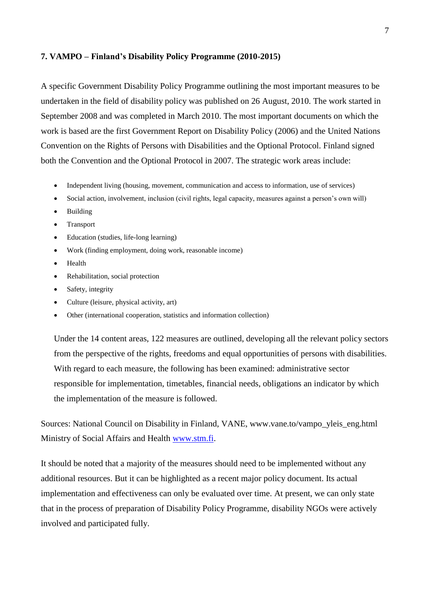#### **7. VAMPO – Finland's Disability Policy Programme (2010-2015)**

A specific Government Disability Policy Programme outlining the most important measures to be undertaken in the field of disability policy was published on 26 August, 2010. The work started in September 2008 and was completed in March 2010. The most important documents on which the work is based are the first Government Report on Disability Policy (2006) and the United Nations Convention on the Rights of Persons with Disabilities and the Optional Protocol. Finland signed both the Convention and the Optional Protocol in 2007. The strategic work areas include:

- Independent living (housing, movement, communication and access to information, use of services)
- Social action, involvement, inclusion (civil rights, legal capacity, measures against a person's own will)
- Building
- Transport
- Education (studies, life-long learning)
- Work (finding employment, doing work, reasonable income)
- Health
- Rehabilitation, social protection
- Safety, integrity
- Culture (leisure, physical activity, art)
- Other (international cooperation, statistics and information collection)

Under the 14 content areas, 122 measures are outlined, developing all the relevant policy sectors from the perspective of the rights, freedoms and equal opportunities of persons with disabilities. With regard to each measure, the following has been examined: administrative sector responsible for implementation, timetables, financial needs, obligations an indicator by which the implementation of the measure is followed.

Sources: National Council on Disability in Finland, VANE, www.vane.to/vampo\_yleis\_eng.html Ministry of Social Affairs and Health [www.stm.fi.](http://www.stm.fi/)

It should be noted that a majority of the measures should need to be implemented without any additional resources. But it can be highlighted as a recent major policy document. Its actual implementation and effectiveness can only be evaluated over time. At present, we can only state that in the process of preparation of Disability Policy Programme, disability NGOs were actively involved and participated fully.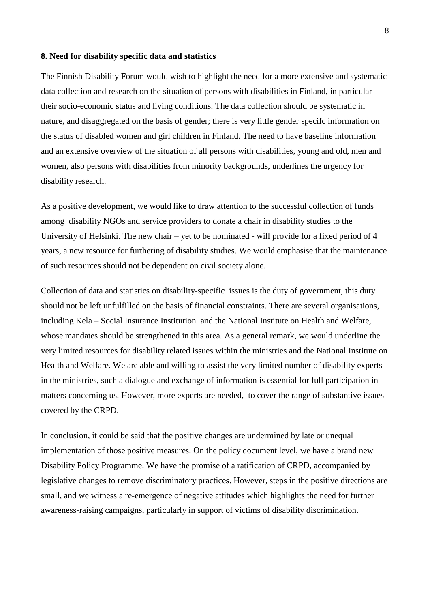#### **8. Need for disability specific data and statistics**

The Finnish Disability Forum would wish to highlight the need for a more extensive and systematic data collection and research on the situation of persons with disabilities in Finland, in particular their socio-economic status and living conditions. The data collection should be systematic in nature, and disaggregated on the basis of gender; there is very little gender specifc information on the status of disabled women and girl children in Finland. The need to have baseline information and an extensive overview of the situation of all persons with disabilities, young and old, men and women, also persons with disabilities from minority backgrounds, underlines the urgency for disability research.

As a positive development, we would like to draw attention to the successful collection of funds among disability NGOs and service providers to donate a chair in disability studies to the University of Helsinki. The new chair – yet to be nominated - will provide for a fixed period of 4 years, a new resource for furthering of disability studies. We would emphasise that the maintenance of such resources should not be dependent on civil society alone.

Collection of data and statistics on disability-specific issues is the duty of government, this duty should not be left unfulfilled on the basis of financial constraints. There are several organisations, including Kela – Social Insurance Institution and the National Institute on Health and Welfare, whose mandates should be strengthened in this area. As a general remark, we would underline the very limited resources for disability related issues within the ministries and the National Institute on Health and Welfare. We are able and willing to assist the very limited number of disability experts in the ministries, such a dialogue and exchange of information is essential for full participation in matters concerning us. However, more experts are needed, to cover the range of substantive issues covered by the CRPD.

In conclusion, it could be said that the positive changes are undermined by late or unequal implementation of those positive measures. On the policy document level, we have a brand new Disability Policy Programme. We have the promise of a ratification of CRPD, accompanied by legislative changes to remove discriminatory practices. However, steps in the positive directions are small, and we witness a re-emergence of negative attitudes which highlights the need for further awareness-raising campaigns, particularly in support of victims of disability discrimination.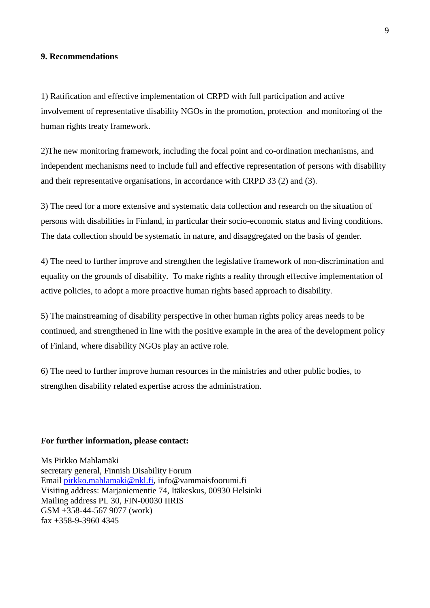### **9. Recommendations**

1) Ratification and effective implementation of CRPD with full participation and active involvement of representative disability NGOs in the promotion, protection and monitoring of the human rights treaty framework.

2)The new monitoring framework, including the focal point and co-ordination mechanisms, and independent mechanisms need to include full and effective representation of persons with disability and their representative organisations, in accordance with CRPD 33 (2) and (3).

3) The need for a more extensive and systematic data collection and research on the situation of persons with disabilities in Finland, in particular their socio-economic status and living conditions. The data collection should be systematic in nature, and disaggregated on the basis of gender.

4) The need to further improve and strengthen the legislative framework of non-discrimination and equality on the grounds of disability. To make rights a reality through effective implementation of active policies, to adopt a more proactive human rights based approach to disability.

5) The mainstreaming of disability perspective in other human rights policy areas needs to be continued, and strengthened in line with the positive example in the area of the development policy of Finland, where disability NGOs play an active role.

6) The need to further improve human resources in the ministries and other public bodies, to strengthen disability related expertise across the administration.

### **For further information, please contact:**

Ms Pirkko Mahlamäki secretary general, Finnish Disability Forum Email [pirkko.mahlamaki@nkl.fi,](mailto:pirkko.mahlamaki@nkl.fi) info@vammaisfoorumi.fi Visiting address: Marjaniementie 74, Itäkeskus, 00930 Helsinki Mailing address PL 30, FIN-00030 IIRIS GSM +358-44-567 9077 (work) fax +358-9-3960 4345